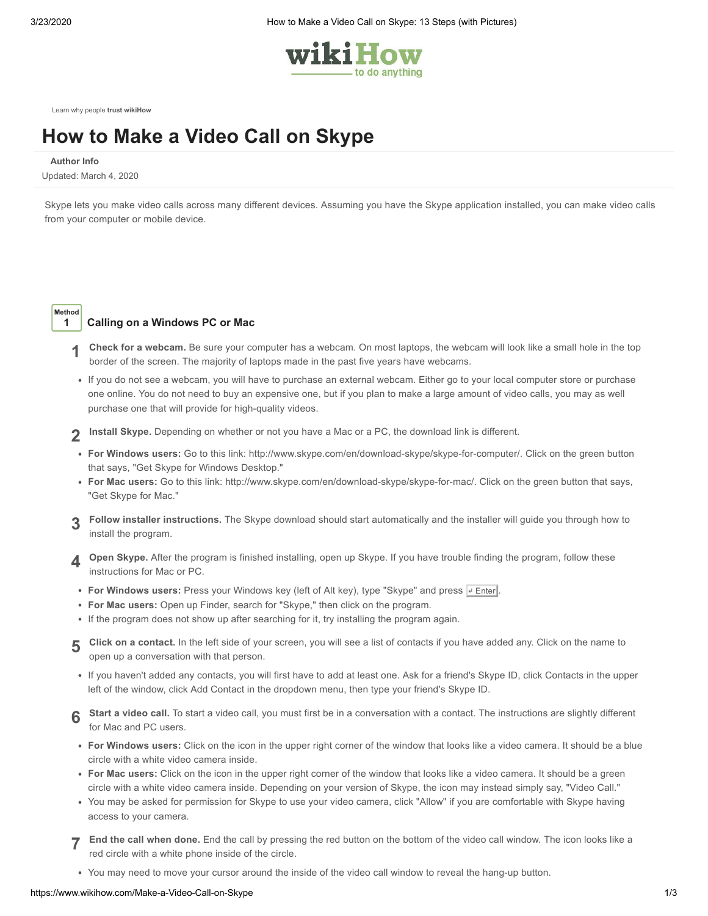

[Learn why people](https://www.wikihow.com/wikiHow:Delivering-a-Trustworthy-Experience) **trust wikiHow**

# **How to Make a Video Call on [Skype](https://www.wikihow.com/Make-a-Video-Call-on-Skype)**

**Author Info**

Updated: March 4, 2020

Skype lets you make video calls across many different devices. Assuming you have the Skype application installed, you can make video calls from your computer or mobile device.

**Method**

# **1 Calling on a Windows PC or Mac**

- **1 Check for a webcam.** Be sure your computer has a webcam. On most laptops, the webcam will look like a small hole in the top border of the screen. The majority of laptops made in the past five years have webcams.
- If you do not see a webcam, you will have to purchase an external webcam. Either go to your local computer store or purchase one online. You do not need to buy an expensive one, but if you plan to make a large amount of video calls, you may as well purchase one that will provide for high-quality videos.
- **2 Install Skype.** Depending on whether or not you have a Mac or a PC, the download link is different.
- **For Windows users:** Go to this link: <http://www.skype.com/en/download-skype/skype-for-computer/>. Click on the green button that says, "Get Skype for Windows Desktop."
- **For Mac users:** Go to this link: <http://www.skype.com/en/download-skype/skype-for-mac/>. Click on the green button that says, "Get Skype for Mac."
- **3 Follow installer instructions.** The Skype download should start automatically and the installer will guide you through how to install the program.
- **4 Open Skype.** After the program is finished installing, open up Skype. If you have trouble finding the program, follow these instructions for Mac or PC.
- **For Windows users:** Press your Windows key (left of Alt key), type "Skype" and press  $\overline{P}$  Enter
- **For Mac users:** Open up Finder, search for "Skype," then click on the program.
- If the program does not show up after searching for it, try installing the program again.
- **5** Click on a contact. In the left side of your screen, you will see a list of contacts if you have added any. Click on the name to an expression with that names open up a conversation with that person.
- If you haven't added any contacts, you will first have to add at least one. Ask for a friend's Skype ID, click Contacts in the upper left of the window, click Add Contact in the dropdown menu, then type your friend's Skype ID.
- **6 Start a video call.** To start a video call, you must first be in a conversation with a contact. The instructions are slightly different for Mac and PC users.
- **For Windows users:** Click on the icon in the upper right corner of the window that looks like a video camera. It should be a blue circle with a white video camera inside.
- **For Mac users:** Click on the icon in the upper right corner of the window that looks like a video camera. It should be a green circle with a white video camera inside. Depending on your version of Skype, the icon may instead simply say, "Video Call."
- You may be asked for permission for Skype to use your video camera, click "Allow" if you are comfortable with Skype having access to your camera.
- **7 End the call when done.** End the call by pressing the red button on the bottom of the video call window. The icon looks like a red circle with a white phone inside of the circle.
- You may need to move your cursor around the inside of the video call window to reveal the hang-up button.